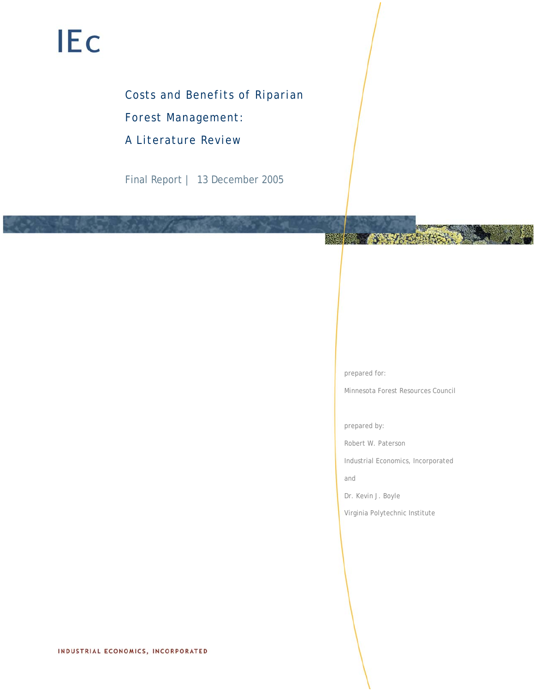# **IEc**

# Costs and Benefits of Riparian

Forest Management:

A Literature Review

Final Report | 13 December 2005

prepared for:

**使後 条斑** 

Minnesota Forest Resources Council

合作者科技合作

prepared by:

Robert W. Paterson

Industrial Economics, Incorporated

and

Dr. Kevin J. Boyle

Virginia Polytechnic Institute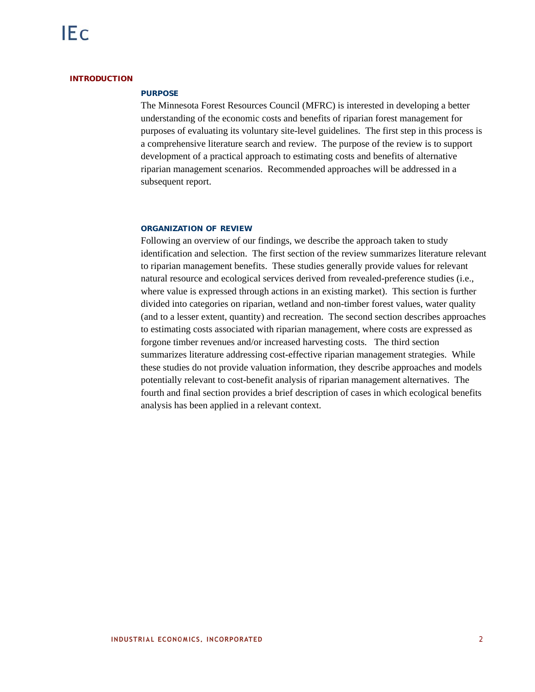#### **INTRODUCTION**

# **PURPOSE**

The Minnesota Forest Resources Council (MFRC) is interested in developing a better understanding of the economic costs and benefits of riparian forest management for purposes of evaluating its voluntary site-level guidelines. The first step in this process is a comprehensive literature search and review. The purpose of the review is to support development of a practical approach to estimating costs and benefits of alternative riparian management scenarios. Recommended approaches will be addressed in a subsequent report.

#### **ORGANIZATION OF REVIEW**

Following an overview of our findings, we describe the approach taken to study identification and selection. The first section of the review summarizes literature relevant to riparian management benefits. These studies generally provide values for relevant natural resource and ecological services derived from revealed-preference studies (i.e., where value is expressed through actions in an existing market). This section is further divided into categories on riparian, wetland and non-timber forest values, water quality (and to a lesser extent, quantity) and recreation. The second section describes approaches to estimating costs associated with riparian management, where costs are expressed as forgone timber revenues and/or increased harvesting costs. The third section summarizes literature addressing cost-effective riparian management strategies. While these studies do not provide valuation information, they describe approaches and models potentially relevant to cost-benefit analysis of riparian management alternatives. The fourth and final section provides a brief description of cases in which ecological benefits analysis has been applied in a relevant context.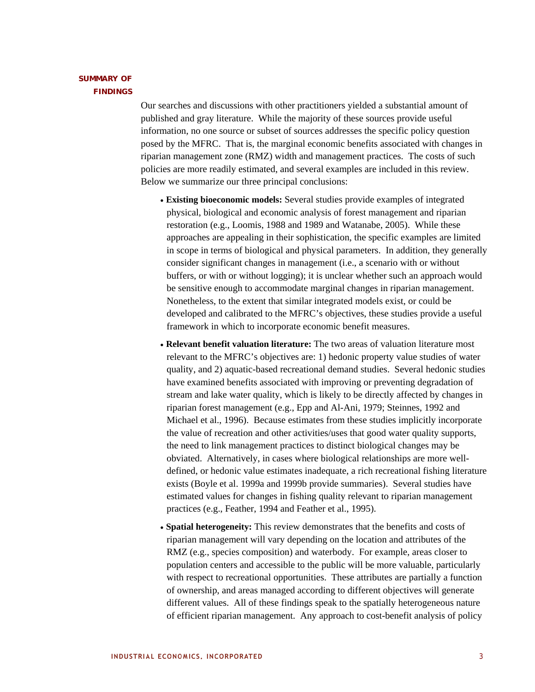# **SUMMARY OF FINDINGS**

Our searches and discussions with other practitioners yielded a substantial amount of published and gray literature. While the majority of these sources provide useful information, no one source or subset of sources addresses the specific policy question posed by the MFRC. That is, the marginal economic benefits associated with changes in riparian management zone (RMZ) width and management practices. The costs of such policies are more readily estimated, and several examples are included in this review. Below we summarize our three principal conclusions:

- **Existing bioeconomic models:** Several studies provide examples of integrated physical, biological and economic analysis of forest management and riparian restoration (e.g., Loomis, 1988 and 1989 and Watanabe, 2005). While these approaches are appealing in their sophistication, the specific examples are limited in scope in terms of biological and physical parameters. In addition, they generally consider significant changes in management (i.e., a scenario with or without buffers, or with or without logging); it is unclear whether such an approach would be sensitive enough to accommodate marginal changes in riparian management. Nonetheless, to the extent that similar integrated models exist, or could be developed and calibrated to the MFRC's objectives, these studies provide a useful framework in which to incorporate economic benefit measures.
- **Relevant benefit valuation literature:** The two areas of valuation literature most relevant to the MFRC's objectives are: 1) hedonic property value studies of water quality, and 2) aquatic-based recreational demand studies. Several hedonic studies have examined benefits associated with improving or preventing degradation of stream and lake water quality, which is likely to be directly affected by changes in riparian forest management (e.g., Epp and Al-Ani, 1979; Steinnes, 1992 and Michael et al., 1996). Because estimates from these studies implicitly incorporate the value of recreation and other activities/uses that good water quality supports, the need to link management practices to distinct biological changes may be obviated. Alternatively, in cases where biological relationships are more welldefined, or hedonic value estimates inadequate, a rich recreational fishing literature exists (Boyle et al. 1999a and 1999b provide summaries). Several studies have estimated values for changes in fishing quality relevant to riparian management practices (e.g., Feather, 1994 and Feather et al., 1995).
- **Spatial heterogeneity:** This review demonstrates that the benefits and costs of riparian management will vary depending on the location and attributes of the RMZ (e.g., species composition) and waterbody. For example, areas closer to population centers and accessible to the public will be more valuable, particularly with respect to recreational opportunities. These attributes are partially a function of ownership, and areas managed according to different objectives will generate different values. All of these findings speak to the spatially heterogeneous nature of efficient riparian management. Any approach to cost-benefit analysis of policy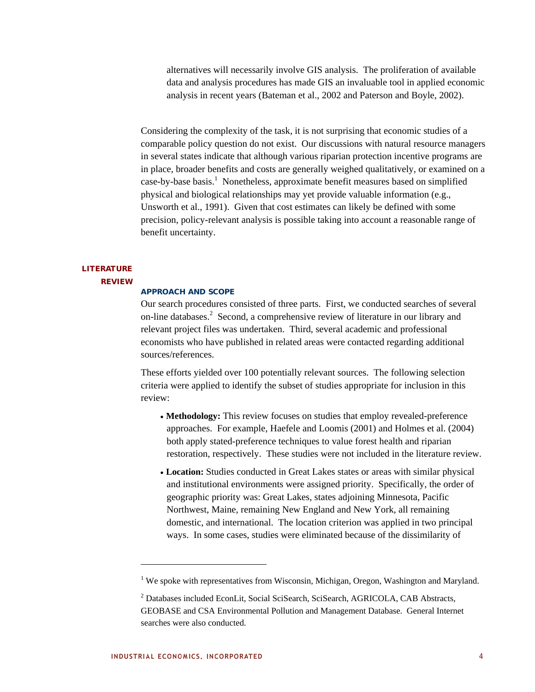alternatives will necessarily involve GIS analysis. The proliferation of available data and analysis procedures has made GIS an invaluable tool in applied economic analysis in recent years (Bateman et al., 2002 and Paterson and Boyle, 2002).

Considering the complexity of the task, it is not surprising that economic studies of a comparable policy question do not exist. Our discussions with natural resource managers in several states indicate that although various riparian protection incentive programs are in place, broader benefits and costs are generally weighed qualitatively, or examined on a case-by-base basis.<sup>1</sup> Nonetheless, approximate benefit measures based on simplified physical and biological relationships may yet provide valuable information (e.g., Unsworth et al., 1991). Given that cost estimates can likely be defined with some precision, policy-relevant analysis is possible taking into account a reasonable range of benefit uncertainty.

# **LITERATURE**

#### **REVIEW**

#### **APPROACH AND SCOPE**

Our search procedures consisted of three parts. First, we conducted searches of several on-line databases.<sup>2</sup> Second, a comprehensive review of literature in our library and relevant project files was undertaken. Third, several academic and professional economists who have published in related areas were contacted regarding additional sources/references.

These efforts yielded over 100 potentially relevant sources. The following selection criteria were applied to identify the subset of studies appropriate for inclusion in this review:

- **Methodology:** This review focuses on studies that employ revealed-preference approaches. For example, Haefele and Loomis (2001) and Holmes et al. (2004) both apply stated-preference techniques to value forest health and riparian restoration, respectively. These studies were not included in the literature review.
- **Location:** Studies conducted in Great Lakes states or areas with similar physical and institutional environments were assigned priority. Specifically, the order of geographic priority was: Great Lakes, states adjoining Minnesota, Pacific Northwest, Maine, remaining New England and New York, all remaining domestic, and international. The location criterion was applied in two principal ways. In some cases, studies were eliminated because of the dissimilarity of

 $1$  We spoke with representatives from Wisconsin, Michigan, Oregon, Washington and Maryland.

<sup>&</sup>lt;sup>2</sup> Databases included EconLit, Social SciSearch, SciSearch, AGRICOLA, CAB Abstracts, GEOBASE and CSA Environmental Pollution and Management Database. General Internet searches were also conducted.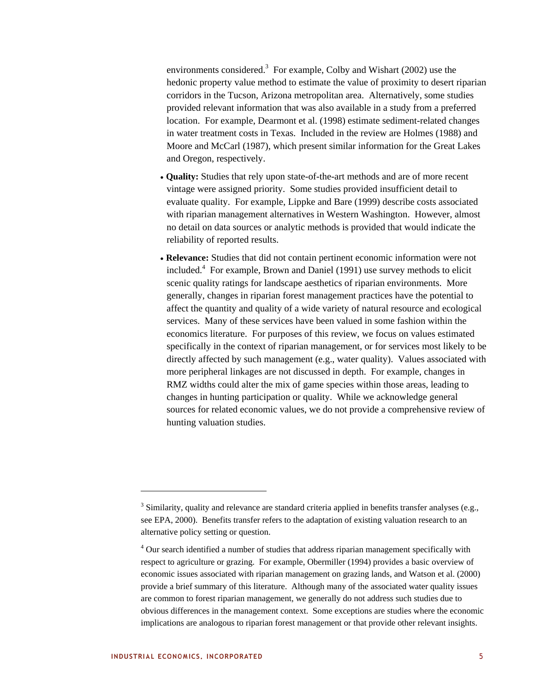environments considered.<sup>3</sup> For example, Colby and Wishart (2002) use the hedonic property value method to estimate the value of proximity to desert riparian corridors in the Tucson, Arizona metropolitan area. Alternatively, some studies provided relevant information that was also available in a study from a preferred location. For example, Dearmont et al. (1998) estimate sediment-related changes in water treatment costs in Texas. Included in the review are Holmes (1988) and Moore and McCarl (1987), which present similar information for the Great Lakes and Oregon, respectively.

- **Quality:** Studies that rely upon state-of-the-art methods and are of more recent vintage were assigned priority. Some studies provided insufficient detail to evaluate quality. For example, Lippke and Bare (1999) describe costs associated with riparian management alternatives in Western Washington. However, almost no detail on data sources or analytic methods is provided that would indicate the reliability of reported results.
- **Relevance:** Studies that did not contain pertinent economic information were not included.4 For example, Brown and Daniel (1991) use survey methods to elicit scenic quality ratings for landscape aesthetics of riparian environments. More generally, changes in riparian forest management practices have the potential to affect the quantity and quality of a wide variety of natural resource and ecological services. Many of these services have been valued in some fashion within the economics literature. For purposes of this review, we focus on values estimated specifically in the context of riparian management, or for services most likely to be directly affected by such management (e.g., water quality). Values associated with more peripheral linkages are not discussed in depth. For example, changes in RMZ widths could alter the mix of game species within those areas, leading to changes in hunting participation or quality. While we acknowledge general sources for related economic values, we do not provide a comprehensive review of hunting valuation studies.

 $3$  Similarity, quality and relevance are standard criteria applied in benefits transfer analyses (e.g., see EPA, 2000). Benefits transfer refers to the adaptation of existing valuation research to an alternative policy setting or question.

<sup>&</sup>lt;sup>4</sup> Our search identified a number of studies that address riparian management specifically with respect to agriculture or grazing. For example, Obermiller (1994) provides a basic overview of economic issues associated with riparian management on grazing lands, and Watson et al. (2000) provide a brief summary of this literature. Although many of the associated water quality issues are common to forest riparian management, we generally do not address such studies due to obvious differences in the management context. Some exceptions are studies where the economic implications are analogous to riparian forest management or that provide other relevant insights.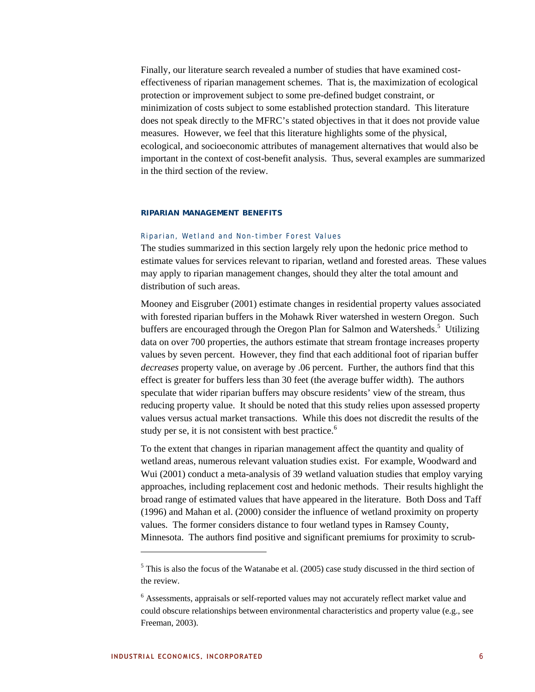Finally, our literature search revealed a number of studies that have examined costeffectiveness of riparian management schemes. That is, the maximization of ecological protection or improvement subject to some pre-defined budget constraint, or minimization of costs subject to some established protection standard. This literature does not speak directly to the MFRC's stated objectives in that it does not provide value measures. However, we feel that this literature highlights some of the physical, ecological, and socioeconomic attributes of management alternatives that would also be important in the context of cost-benefit analysis. Thus, several examples are summarized in the third section of the review.

# **RIPARIAN MANAGEMENT BENEFITS**

# Riparian, Wetland and Non-timber Forest Values

The studies summarized in this section largely rely upon the hedonic price method to estimate values for services relevant to riparian, wetland and forested areas. These values may apply to riparian management changes, should they alter the total amount and distribution of such areas.

Mooney and Eisgruber (2001) estimate changes in residential property values associated with forested riparian buffers in the Mohawk River watershed in western Oregon. Such buffers are encouraged through the Oregon Plan for Salmon and Watersheds.<sup>5</sup> Utilizing data on over 700 properties, the authors estimate that stream frontage increases property values by seven percent. However, they find that each additional foot of riparian buffer *decreases* property value, on average by .06 percent. Further, the authors find that this effect is greater for buffers less than 30 feet (the average buffer width). The authors speculate that wider riparian buffers may obscure residents' view of the stream, thus reducing property value. It should be noted that this study relies upon assessed property values versus actual market transactions. While this does not discredit the results of the study per se, it is not consistent with best practice.<sup>6</sup>

To the extent that changes in riparian management affect the quantity and quality of wetland areas, numerous relevant valuation studies exist. For example, Woodward and Wui (2001) conduct a meta-analysis of 39 wetland valuation studies that employ varying approaches, including replacement cost and hedonic methods. Their results highlight the broad range of estimated values that have appeared in the literature. Both Doss and Taff (1996) and Mahan et al. (2000) consider the influence of wetland proximity on property values. The former considers distance to four wetland types in Ramsey County, Minnesota. The authors find positive and significant premiums for proximity to scrub-

 $<sup>5</sup>$  This is also the focus of the Watanabe et al. (2005) case study discussed in the third section of</sup> the review.

<sup>&</sup>lt;sup>6</sup> Assessments, appraisals or self-reported values may not accurately reflect market value and could obscure relationships between environmental characteristics and property value (e.g., see Freeman, 2003).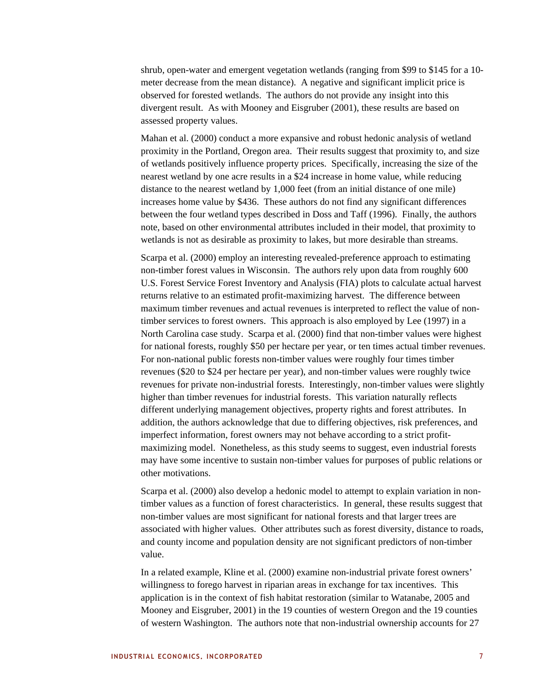shrub, open-water and emergent vegetation wetlands (ranging from \$99 to \$145 for a 10 meter decrease from the mean distance). A negative and significant implicit price is observed for forested wetlands. The authors do not provide any insight into this divergent result. As with Mooney and Eisgruber (2001), these results are based on assessed property values.

Mahan et al. (2000) conduct a more expansive and robust hedonic analysis of wetland proximity in the Portland, Oregon area. Their results suggest that proximity to, and size of wetlands positively influence property prices. Specifically, increasing the size of the nearest wetland by one acre results in a \$24 increase in home value, while reducing distance to the nearest wetland by 1,000 feet (from an initial distance of one mile) increases home value by \$436. These authors do not find any significant differences between the four wetland types described in Doss and Taff (1996). Finally, the authors note, based on other environmental attributes included in their model, that proximity to wetlands is not as desirable as proximity to lakes, but more desirable than streams.

Scarpa et al. (2000) employ an interesting revealed-preference approach to estimating non-timber forest values in Wisconsin. The authors rely upon data from roughly 600 U.S. Forest Service Forest Inventory and Analysis (FIA) plots to calculate actual harvest returns relative to an estimated profit-maximizing harvest. The difference between maximum timber revenues and actual revenues is interpreted to reflect the value of nontimber services to forest owners. This approach is also employed by Lee (1997) in a North Carolina case study. Scarpa et al. (2000) find that non-timber values were highest for national forests, roughly \$50 per hectare per year, or ten times actual timber revenues. For non-national public forests non-timber values were roughly four times timber revenues (\$20 to \$24 per hectare per year), and non-timber values were roughly twice revenues for private non-industrial forests. Interestingly, non-timber values were slightly higher than timber revenues for industrial forests. This variation naturally reflects different underlying management objectives, property rights and forest attributes. In addition, the authors acknowledge that due to differing objectives, risk preferences, and imperfect information, forest owners may not behave according to a strict profitmaximizing model. Nonetheless, as this study seems to suggest, even industrial forests may have some incentive to sustain non-timber values for purposes of public relations or other motivations.

Scarpa et al. (2000) also develop a hedonic model to attempt to explain variation in nontimber values as a function of forest characteristics. In general, these results suggest that non-timber values are most significant for national forests and that larger trees are associated with higher values. Other attributes such as forest diversity, distance to roads, and county income and population density are not significant predictors of non-timber value.

In a related example, Kline et al. (2000) examine non-industrial private forest owners' willingness to forego harvest in riparian areas in exchange for tax incentives. This application is in the context of fish habitat restoration (similar to Watanabe, 2005 and Mooney and Eisgruber, 2001) in the 19 counties of western Oregon and the 19 counties of western Washington. The authors note that non-industrial ownership accounts for 27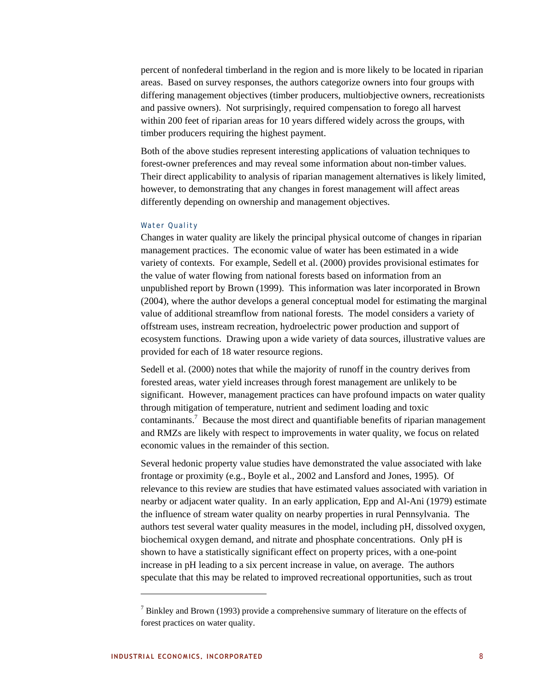percent of nonfederal timberland in the region and is more likely to be located in riparian areas. Based on survey responses, the authors categorize owners into four groups with differing management objectives (timber producers, multiobjective owners, recreationists and passive owners). Not surprisingly, required compensation to forego all harvest within 200 feet of riparian areas for 10 years differed widely across the groups, with timber producers requiring the highest payment.

Both of the above studies represent interesting applications of valuation techniques to forest-owner preferences and may reveal some information about non-timber values. Their direct applicability to analysis of riparian management alternatives is likely limited, however, to demonstrating that any changes in forest management will affect areas differently depending on ownership and management objectives.

# Water Quality

Changes in water quality are likely the principal physical outcome of changes in riparian management practices. The economic value of water has been estimated in a wide variety of contexts. For example, Sedell et al. (2000) provides provisional estimates for the value of water flowing from national forests based on information from an unpublished report by Brown (1999). This information was later incorporated in Brown (2004), where the author develops a general conceptual model for estimating the marginal value of additional streamflow from national forests. The model considers a variety of offstream uses, instream recreation, hydroelectric power production and support of ecosystem functions. Drawing upon a wide variety of data sources, illustrative values are provided for each of 18 water resource regions.

Sedell et al. (2000) notes that while the majority of runoff in the country derives from forested areas, water yield increases through forest management are unlikely to be significant. However, management practices can have profound impacts on water quality through mitigation of temperature, nutrient and sediment loading and toxic contaminants.<sup>7</sup> Because the most direct and quantifiable benefits of riparian management and RMZs are likely with respect to improvements in water quality, we focus on related economic values in the remainder of this section.

Several hedonic property value studies have demonstrated the value associated with lake frontage or proximity (e.g., Boyle et al., 2002 and Lansford and Jones, 1995). Of relevance to this review are studies that have estimated values associated with variation in nearby or adjacent water quality. In an early application, Epp and Al-Ani (1979) estimate the influence of stream water quality on nearby properties in rural Pennsylvania. The authors test several water quality measures in the model, including pH, dissolved oxygen, biochemical oxygen demand, and nitrate and phosphate concentrations. Only pH is shown to have a statistically significant effect on property prices, with a one-point increase in pH leading to a six percent increase in value, on average. The authors speculate that this may be related to improved recreational opportunities, such as trout

 $<sup>7</sup>$  Binkley and Brown (1993) provide a comprehensive summary of literature on the effects of</sup> forest practices on water quality.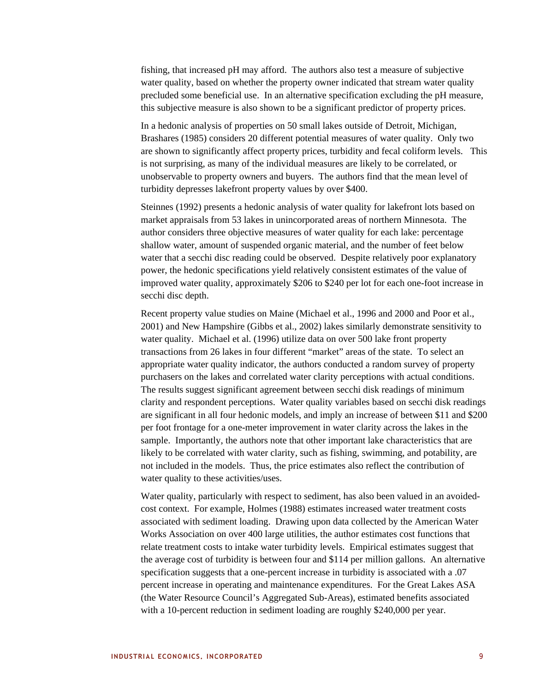fishing, that increased pH may afford. The authors also test a measure of subjective water quality, based on whether the property owner indicated that stream water quality precluded some beneficial use. In an alternative specification excluding the pH measure, this subjective measure is also shown to be a significant predictor of property prices.

In a hedonic analysis of properties on 50 small lakes outside of Detroit, Michigan, Brashares (1985) considers 20 different potential measures of water quality. Only two are shown to significantly affect property prices, turbidity and fecal coliform levels. This is not surprising, as many of the individual measures are likely to be correlated, or unobservable to property owners and buyers. The authors find that the mean level of turbidity depresses lakefront property values by over \$400.

Steinnes (1992) presents a hedonic analysis of water quality for lakefront lots based on market appraisals from 53 lakes in unincorporated areas of northern Minnesota. The author considers three objective measures of water quality for each lake: percentage shallow water, amount of suspended organic material, and the number of feet below water that a secchi disc reading could be observed. Despite relatively poor explanatory power, the hedonic specifications yield relatively consistent estimates of the value of improved water quality, approximately \$206 to \$240 per lot for each one-foot increase in secchi disc depth.

Recent property value studies on Maine (Michael et al., 1996 and 2000 and Poor et al., 2001) and New Hampshire (Gibbs et al., 2002) lakes similarly demonstrate sensitivity to water quality. Michael et al. (1996) utilize data on over 500 lake front property transactions from 26 lakes in four different "market" areas of the state. To select an appropriate water quality indicator, the authors conducted a random survey of property purchasers on the lakes and correlated water clarity perceptions with actual conditions. The results suggest significant agreement between secchi disk readings of minimum clarity and respondent perceptions. Water quality variables based on secchi disk readings are significant in all four hedonic models, and imply an increase of between \$11 and \$200 per foot frontage for a one-meter improvement in water clarity across the lakes in the sample. Importantly, the authors note that other important lake characteristics that are likely to be correlated with water clarity, such as fishing, swimming, and potability, are not included in the models. Thus, the price estimates also reflect the contribution of water quality to these activities/uses.

Water quality, particularly with respect to sediment, has also been valued in an avoidedcost context. For example, Holmes (1988) estimates increased water treatment costs associated with sediment loading. Drawing upon data collected by the American Water Works Association on over 400 large utilities, the author estimates cost functions that relate treatment costs to intake water turbidity levels. Empirical estimates suggest that the average cost of turbidity is between four and \$114 per million gallons. An alternative specification suggests that a one-percent increase in turbidity is associated with a .07 percent increase in operating and maintenance expenditures. For the Great Lakes ASA (the Water Resource Council's Aggregated Sub-Areas), estimated benefits associated with a 10-percent reduction in sediment loading are roughly \$240,000 per year.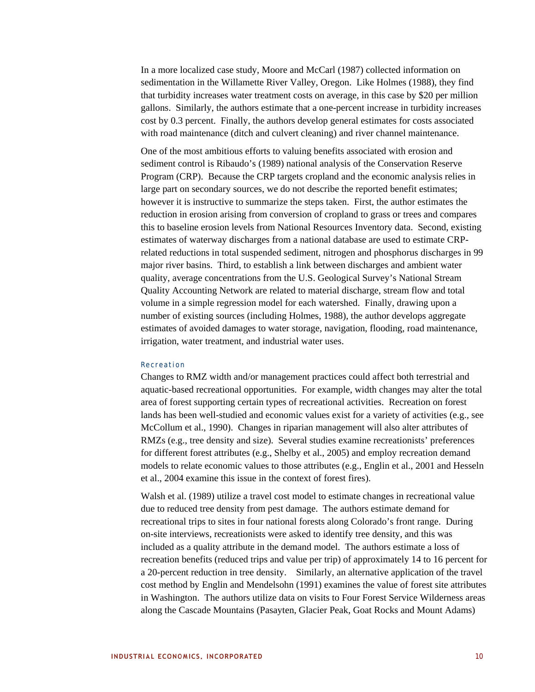In a more localized case study, Moore and McCarl (1987) collected information on sedimentation in the Willamette River Valley, Oregon. Like Holmes (1988), they find that turbidity increases water treatment costs on average, in this case by \$20 per million gallons. Similarly, the authors estimate that a one-percent increase in turbidity increases cost by 0.3 percent. Finally, the authors develop general estimates for costs associated with road maintenance (ditch and culvert cleaning) and river channel maintenance.

One of the most ambitious efforts to valuing benefits associated with erosion and sediment control is Ribaudo's (1989) national analysis of the Conservation Reserve Program (CRP). Because the CRP targets cropland and the economic analysis relies in large part on secondary sources, we do not describe the reported benefit estimates; however it is instructive to summarize the steps taken. First, the author estimates the reduction in erosion arising from conversion of cropland to grass or trees and compares this to baseline erosion levels from National Resources Inventory data. Second, existing estimates of waterway discharges from a national database are used to estimate CRPrelated reductions in total suspended sediment, nitrogen and phosphorus discharges in 99 major river basins. Third, to establish a link between discharges and ambient water quality, average concentrations from the U.S. Geological Survey's National Stream Quality Accounting Network are related to material discharge, stream flow and total volume in a simple regression model for each watershed. Finally, drawing upon a number of existing sources (including Holmes, 1988), the author develops aggregate estimates of avoided damages to water storage, navigation, flooding, road maintenance, irrigation, water treatment, and industrial water uses.

#### Recreation

Changes to RMZ width and/or management practices could affect both terrestrial and aquatic-based recreational opportunities. For example, width changes may alter the total area of forest supporting certain types of recreational activities. Recreation on forest lands has been well-studied and economic values exist for a variety of activities (e.g., see McCollum et al., 1990). Changes in riparian management will also alter attributes of RMZs (e.g., tree density and size). Several studies examine recreationists' preferences for different forest attributes (e.g., Shelby et al., 2005) and employ recreation demand models to relate economic values to those attributes (e.g., Englin et al., 2001 and Hesseln et al., 2004 examine this issue in the context of forest fires).

Walsh et al. (1989) utilize a travel cost model to estimate changes in recreational value due to reduced tree density from pest damage. The authors estimate demand for recreational trips to sites in four national forests along Colorado's front range. During on-site interviews, recreationists were asked to identify tree density, and this was included as a quality attribute in the demand model. The authors estimate a loss of recreation benefits (reduced trips and value per trip) of approximately 14 to 16 percent for a 20-percent reduction in tree density. Similarly, an alternative application of the travel cost method by Englin and Mendelsohn (1991) examines the value of forest site attributes in Washington. The authors utilize data on visits to Four Forest Service Wilderness areas along the Cascade Mountains (Pasayten, Glacier Peak, Goat Rocks and Mount Adams)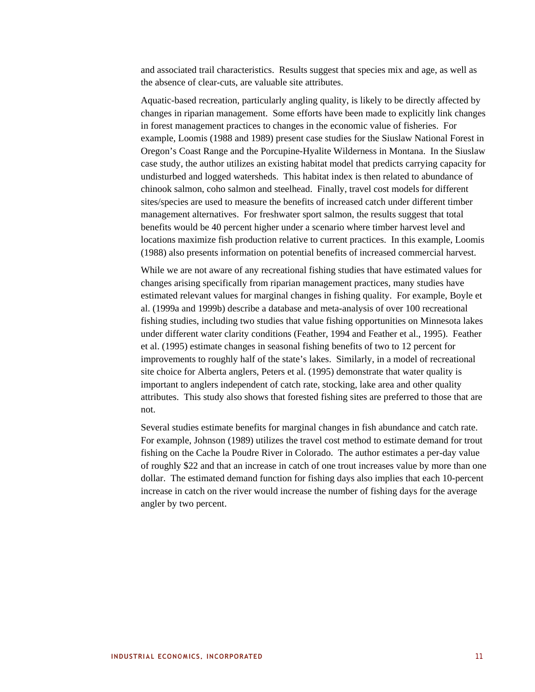and associated trail characteristics. Results suggest that species mix and age, as well as the absence of clear-cuts, are valuable site attributes.

Aquatic-based recreation, particularly angling quality, is likely to be directly affected by changes in riparian management. Some efforts have been made to explicitly link changes in forest management practices to changes in the economic value of fisheries. For example, Loomis (1988 and 1989) present case studies for the Siuslaw National Forest in Oregon's Coast Range and the Porcupine-Hyalite Wilderness in Montana. In the Siuslaw case study, the author utilizes an existing habitat model that predicts carrying capacity for undisturbed and logged watersheds. This habitat index is then related to abundance of chinook salmon, coho salmon and steelhead. Finally, travel cost models for different sites/species are used to measure the benefits of increased catch under different timber management alternatives. For freshwater sport salmon, the results suggest that total benefits would be 40 percent higher under a scenario where timber harvest level and locations maximize fish production relative to current practices. In this example, Loomis (1988) also presents information on potential benefits of increased commercial harvest.

While we are not aware of any recreational fishing studies that have estimated values for changes arising specifically from riparian management practices, many studies have estimated relevant values for marginal changes in fishing quality. For example, Boyle et al. (1999a and 1999b) describe a database and meta-analysis of over 100 recreational fishing studies, including two studies that value fishing opportunities on Minnesota lakes under different water clarity conditions (Feather, 1994 and Feather et al., 1995). Feather et al. (1995) estimate changes in seasonal fishing benefits of two to 12 percent for improvements to roughly half of the state's lakes. Similarly, in a model of recreational site choice for Alberta anglers, Peters et al. (1995) demonstrate that water quality is important to anglers independent of catch rate, stocking, lake area and other quality attributes. This study also shows that forested fishing sites are preferred to those that are not.

Several studies estimate benefits for marginal changes in fish abundance and catch rate. For example, Johnson (1989) utilizes the travel cost method to estimate demand for trout fishing on the Cache la Poudre River in Colorado. The author estimates a per-day value of roughly \$22 and that an increase in catch of one trout increases value by more than one dollar. The estimated demand function for fishing days also implies that each 10-percent increase in catch on the river would increase the number of fishing days for the average angler by two percent.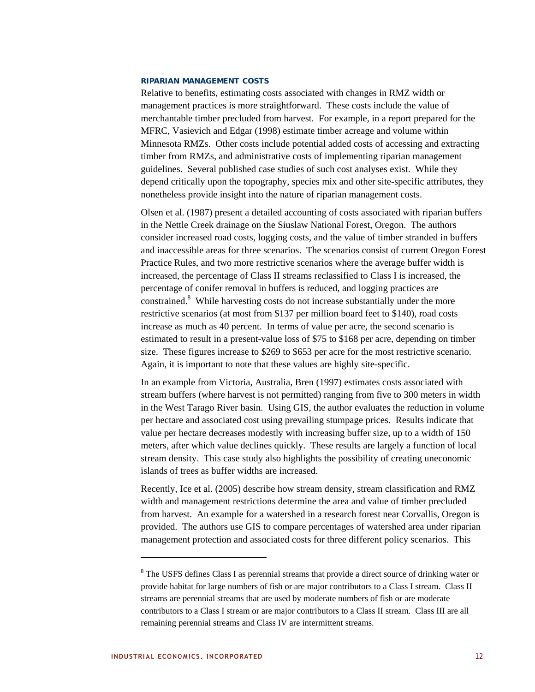#### **RIPARIAN MANAGEMENT COSTS**

Relative to benefits, estimating costs associated with changes in RMZ width or management practices is more straightforward. These costs include the value of merchantable timber precluded from harvest. For example, in a report prepared for the MFRC, Vasievich and Edgar (1998) estimate timber acreage and volume within Minnesota RMZs. Other costs include potential added costs of accessing and extracting timber from RMZs, and administrative costs of implementing riparian management guidelines. Several published case studies of such cost analyses exist. While they depend critically upon the topography, species mix and other site-specific attributes, they nonetheless provide insight into the nature of riparian management costs.

Olsen et al. (1987) present a detailed accounting of costs associated with riparian buffers in the Nettle Creek drainage on the Siuslaw National Forest, Oregon. The authors consider increased road costs, logging costs, and the value of timber stranded in buffers and inaccessible areas for three scenarios. The scenarios consist of current Oregon Forest Practice Rules, and two more restrictive scenarios where the average buffer width is increased, the percentage of Class II streams reclassified to Class I is increased, the percentage of conifer removal in buffers is reduced, and logging practices are constrained.<sup>8</sup> While harvesting costs do not increase substantially under the more restrictive scenarios (at most from \$137 per million board feet to \$140), road costs increase as much as 40 percent. In terms of value per acre, the second scenario is estimated to result in a present-value loss of \$75 to \$168 per acre, depending on timber size. These figures increase to \$269 to \$653 per acre for the most restrictive scenario. Again, it is important to note that these values are highly site-specific.

In an example from Victoria, Australia, Bren (1997) estimates costs associated with stream buffers (where harvest is not permitted) ranging from five to 300 meters in width in the West Tarago River basin. Using GIS, the author evaluates the reduction in volume per hectare and associated cost using prevailing stumpage prices. Results indicate that value per hectare decreases modestly with increasing buffer size, up to a width of 150 meters, after which value declines quickly. These results are largely a function of local stream density. This case study also highlights the possibility of creating uneconomic islands of trees as buffer widths are increased.

Recently, Ice et al. (2005) describe how stream density, stream classification and RMZ width and management restrictions determine the area and value of timber precluded from harvest. An example for a watershed in a research forest near Corvallis, Oregon is provided. The authors use GIS to compare percentages of watershed area under riparian management protection and associated costs for three different policy scenarios. This

<sup>&</sup>lt;sup>8</sup> The USFS defines Class I as perennial streams that provide a direct source of drinking water or provide habitat for large numbers of fish or are major contributors to a Class I stream. Class II streams are perennial streams that are used by moderate numbers of fish or are moderate contributors to a Class I stream or are major contributors to a Class II stream. Class III are all remaining perennial streams and Class IV are intermittent streams.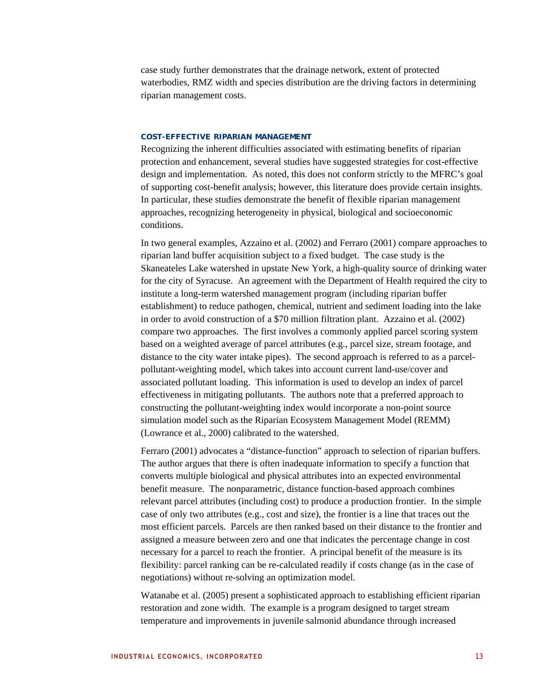case study further demonstrates that the drainage network, extent of protected waterbodies, RMZ width and species distribution are the driving factors in determining riparian management costs.

# **COST-EFFECTIVE RIPARIAN MANAGEMENT**

Recognizing the inherent difficulties associated with estimating benefits of riparian protection and enhancement, several studies have suggested strategies for cost-effective design and implementation. As noted, this does not conform strictly to the MFRC's goal of supporting cost-benefit analysis; however, this literature does provide certain insights. In particular, these studies demonstrate the benefit of flexible riparian management approaches, recognizing heterogeneity in physical, biological and socioeconomic conditions.

In two general examples, Azzaino et al. (2002) and Ferraro (2001) compare approaches to riparian land buffer acquisition subject to a fixed budget. The case study is the Skaneateles Lake watershed in upstate New York, a high-quality source of drinking water for the city of Syracuse. An agreement with the Department of Health required the city to institute a long-term watershed management program (including riparian buffer establishment) to reduce pathogen, chemical, nutrient and sediment loading into the lake in order to avoid construction of a \$70 million filtration plant. Azzaino et al. (2002) compare two approaches. The first involves a commonly applied parcel scoring system based on a weighted average of parcel attributes (e.g., parcel size, stream footage, and distance to the city water intake pipes). The second approach is referred to as a parcelpollutant-weighting model, which takes into account current land-use/cover and associated pollutant loading. This information is used to develop an index of parcel effectiveness in mitigating pollutants. The authors note that a preferred approach to constructing the pollutant-weighting index would incorporate a non-point source simulation model such as the Riparian Ecosystem Management Model (REMM) (Lowrance et al., 2000) calibrated to the watershed.

Ferraro (2001) advocates a "distance-function" approach to selection of riparian buffers. The author argues that there is often inadequate information to specify a function that converts multiple biological and physical attributes into an expected environmental benefit measure. The nonparametric, distance function-based approach combines relevant parcel attributes (including cost) to produce a production frontier. In the simple case of only two attributes (e.g., cost and size), the frontier is a line that traces out the most efficient parcels. Parcels are then ranked based on their distance to the frontier and assigned a measure between zero and one that indicates the percentage change in cost necessary for a parcel to reach the frontier. A principal benefit of the measure is its flexibility: parcel ranking can be re-calculated readily if costs change (as in the case of negotiations) without re-solving an optimization model.

Watanabe et al. (2005) present a sophisticated approach to establishing efficient riparian restoration and zone width. The example is a program designed to target stream temperature and improvements in juvenile salmonid abundance through increased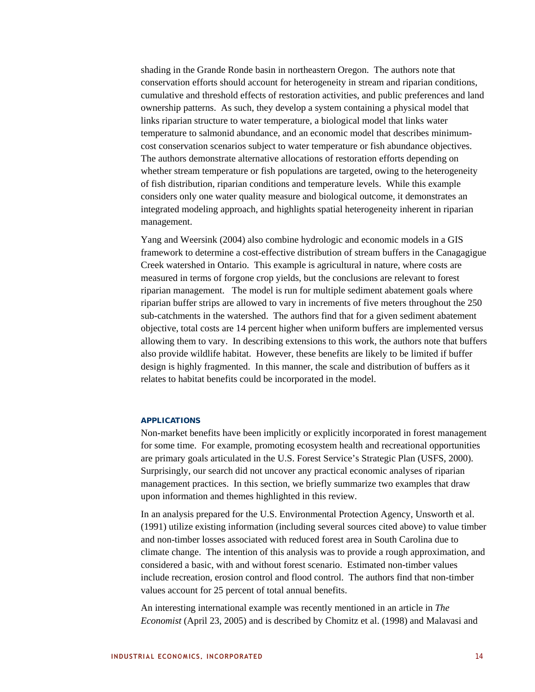shading in the Grande Ronde basin in northeastern Oregon. The authors note that conservation efforts should account for heterogeneity in stream and riparian conditions, cumulative and threshold effects of restoration activities, and public preferences and land ownership patterns. As such, they develop a system containing a physical model that links riparian structure to water temperature, a biological model that links water temperature to salmonid abundance, and an economic model that describes minimumcost conservation scenarios subject to water temperature or fish abundance objectives. The authors demonstrate alternative allocations of restoration efforts depending on whether stream temperature or fish populations are targeted, owing to the heterogeneity of fish distribution, riparian conditions and temperature levels. While this example considers only one water quality measure and biological outcome, it demonstrates an integrated modeling approach, and highlights spatial heterogeneity inherent in riparian management.

Yang and Weersink (2004) also combine hydrologic and economic models in a GIS framework to determine a cost-effective distribution of stream buffers in the Canagagigue Creek watershed in Ontario. This example is agricultural in nature, where costs are measured in terms of forgone crop yields, but the conclusions are relevant to forest riparian management. The model is run for multiple sediment abatement goals where riparian buffer strips are allowed to vary in increments of five meters throughout the 250 sub-catchments in the watershed. The authors find that for a given sediment abatement objective, total costs are 14 percent higher when uniform buffers are implemented versus allowing them to vary. In describing extensions to this work, the authors note that buffers also provide wildlife habitat. However, these benefits are likely to be limited if buffer design is highly fragmented. In this manner, the scale and distribution of buffers as it relates to habitat benefits could be incorporated in the model.

#### **APPLICATIONS**

Non-market benefits have been implicitly or explicitly incorporated in forest management for some time. For example, promoting ecosystem health and recreational opportunities are primary goals articulated in the U.S. Forest Service's Strategic Plan (USFS, 2000). Surprisingly, our search did not uncover any practical economic analyses of riparian management practices. In this section, we briefly summarize two examples that draw upon information and themes highlighted in this review.

In an analysis prepared for the U.S. Environmental Protection Agency, Unsworth et al. (1991) utilize existing information (including several sources cited above) to value timber and non-timber losses associated with reduced forest area in South Carolina due to climate change. The intention of this analysis was to provide a rough approximation, and considered a basic, with and without forest scenario. Estimated non-timber values include recreation, erosion control and flood control. The authors find that non-timber values account for 25 percent of total annual benefits.

An interesting international example was recently mentioned in an article in *The Economist* (April 23, 2005) and is described by Chomitz et al. (1998) and Malavasi and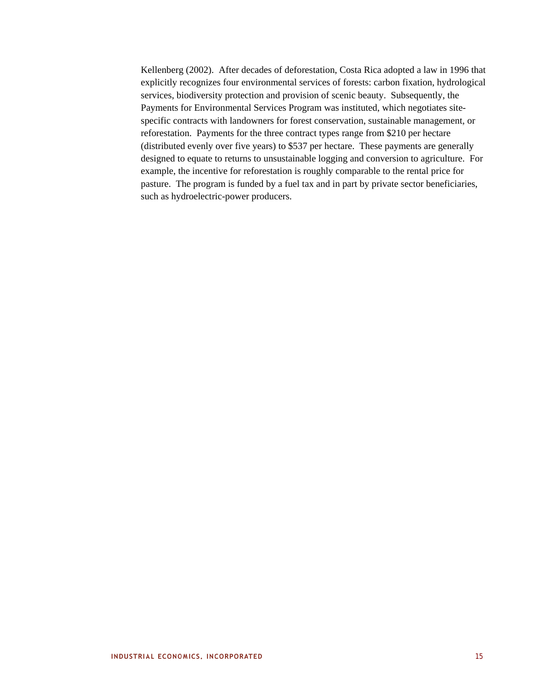Kellenberg (2002). After decades of deforestation, Costa Rica adopted a law in 1996 that explicitly recognizes four environmental services of forests: carbon fixation, hydrological services, biodiversity protection and provision of scenic beauty. Subsequently, the Payments for Environmental Services Program was instituted, which negotiates sitespecific contracts with landowners for forest conservation, sustainable management, or reforestation. Payments for the three contract types range from \$210 per hectare (distributed evenly over five years) to \$537 per hectare. These payments are generally designed to equate to returns to unsustainable logging and conversion to agriculture. For example, the incentive for reforestation is roughly comparable to the rental price for pasture. The program is funded by a fuel tax and in part by private sector beneficiaries, such as hydroelectric-power producers.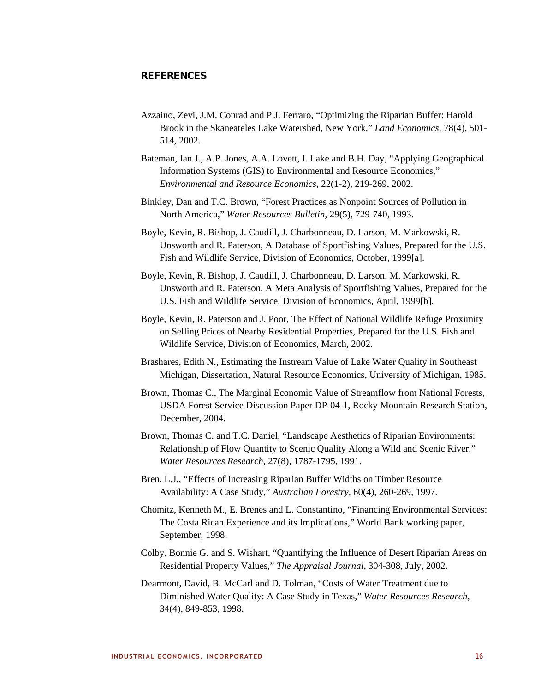# **REFERENCES**

- Azzaino, Zevi, J.M. Conrad and P.J. Ferraro, "Optimizing the Riparian Buffer: Harold Brook in the Skaneateles Lake Watershed, New York," *Land Economics,* 78(4), 501- 514, 2002.
- Bateman, Ian J., A.P. Jones, A.A. Lovett, I. Lake and B.H. Day, "Applying Geographical Information Systems (GIS) to Environmental and Resource Economics," *Environmental and Resource Economics,* 22(1-2), 219-269, 2002.
- Binkley, Dan and T.C. Brown, "Forest Practices as Nonpoint Sources of Pollution in North America," *Water Resources Bulletin,* 29(5), 729-740, 1993.
- Boyle, Kevin, R. Bishop, J. Caudill, J. Charbonneau, D. Larson, M. Markowski, R. Unsworth and R. Paterson, A Database of Sportfishing Values, Prepared for the U.S. Fish and Wildlife Service, Division of Economics, October, 1999[a].
- Boyle, Kevin, R. Bishop, J. Caudill, J. Charbonneau, D. Larson, M. Markowski, R. Unsworth and R. Paterson, A Meta Analysis of Sportfishing Values, Prepared for the U.S. Fish and Wildlife Service, Division of Economics, April, 1999[b].
- Boyle, Kevin, R. Paterson and J. Poor, The Effect of National Wildlife Refuge Proximity on Selling Prices of Nearby Residential Properties, Prepared for the U.S. Fish and Wildlife Service, Division of Economics, March, 2002.
- Brashares, Edith N., Estimating the Instream Value of Lake Water Quality in Southeast Michigan, Dissertation, Natural Resource Economics, University of Michigan, 1985.
- Brown, Thomas C., The Marginal Economic Value of Streamflow from National Forests, USDA Forest Service Discussion Paper DP-04-1, Rocky Mountain Research Station, December, 2004.
- Brown, Thomas C. and T.C. Daniel, "Landscape Aesthetics of Riparian Environments: Relationship of Flow Quantity to Scenic Quality Along a Wild and Scenic River," *Water Resources Research,* 27(8), 1787-1795, 1991.
- Bren, L.J., "Effects of Increasing Riparian Buffer Widths on Timber Resource Availability: A Case Study," *Australian Forestry,* 60(4), 260-269, 1997.
- Chomitz, Kenneth M., E. Brenes and L. Constantino, "Financing Environmental Services: The Costa Rican Experience and its Implications," World Bank working paper, September, 1998.
- Colby, Bonnie G. and S. Wishart, "Quantifying the Influence of Desert Riparian Areas on Residential Property Values," *The Appraisal Journal,* 304-308, July, 2002.
- Dearmont, David, B. McCarl and D. Tolman, "Costs of Water Treatment due to Diminished Water Quality: A Case Study in Texas," *Water Resources Research,*  34(4), 849-853, 1998.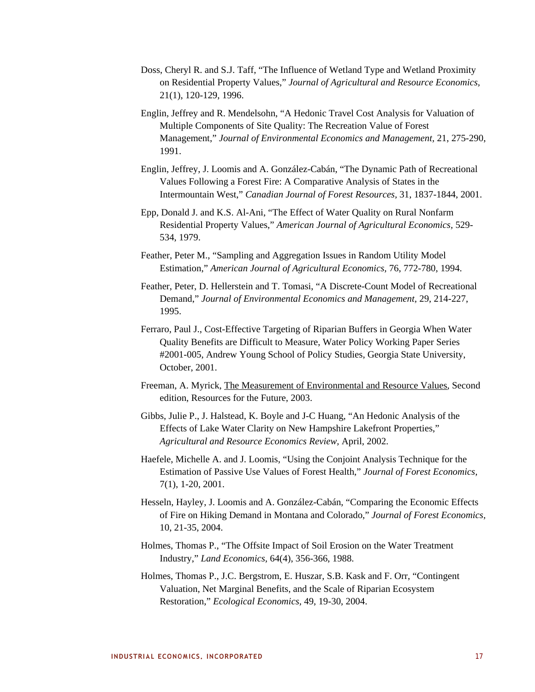- Doss, Cheryl R. and S.J. Taff, "The Influence of Wetland Type and Wetland Proximity on Residential Property Values," *Journal of Agricultural and Resource Economics,*  21(1), 120-129, 1996.
- Englin, Jeffrey and R. Mendelsohn, "A Hedonic Travel Cost Analysis for Valuation of Multiple Components of Site Quality: The Recreation Value of Forest Management," *Journal of Environmental Economics and Management,* 21, 275-290, 1991.
- Englin, Jeffrey, J. Loomis and A. González-Cabán, "The Dynamic Path of Recreational Values Following a Forest Fire: A Comparative Analysis of States in the Intermountain West," *Canadian Journal of Forest Resources,* 31, 1837-1844, 2001.
- Epp, Donald J. and K.S. Al-Ani, "The Effect of Water Quality on Rural Nonfarm Residential Property Values," *American Journal of Agricultural Economics,* 529- 534, 1979.
- Feather, Peter M., "Sampling and Aggregation Issues in Random Utility Model Estimation," *American Journal of Agricultural Economics,* 76, 772-780, 1994.
- Feather, Peter, D. Hellerstein and T. Tomasi, "A Discrete-Count Model of Recreational Demand," *Journal of Environmental Economics and Management,* 29, 214-227, 1995.
- Ferraro, Paul J., Cost-Effective Targeting of Riparian Buffers in Georgia When Water Quality Benefits are Difficult to Measure, Water Policy Working Paper Series #2001-005, Andrew Young School of Policy Studies, Georgia State University, October, 2001.
- Freeman, A. Myrick, The Measurement of Environmental and Resource Values, Second edition, Resources for the Future, 2003.
- Gibbs, Julie P., J. Halstead, K. Boyle and J-C Huang, "An Hedonic Analysis of the Effects of Lake Water Clarity on New Hampshire Lakefront Properties," *Agricultural and Resource Economics Review,* April, 2002.
- Haefele, Michelle A. and J. Loomis, "Using the Conjoint Analysis Technique for the Estimation of Passive Use Values of Forest Health," *Journal of Forest Economics,*  7(1), 1-20, 2001.
- Hesseln, Hayley, J. Loomis and A. González-Cabán, "Comparing the Economic Effects of Fire on Hiking Demand in Montana and Colorado," *Journal of Forest Economics,*  10, 21-35, 2004.
- Holmes, Thomas P., "The Offsite Impact of Soil Erosion on the Water Treatment Industry," *Land Economics,* 64(4), 356-366, 1988.
- Holmes, Thomas P., J.C. Bergstrom, E. Huszar, S.B. Kask and F. Orr, "Contingent Valuation, Net Marginal Benefits, and the Scale of Riparian Ecosystem Restoration," *Ecological Economics,* 49, 19-30, 2004.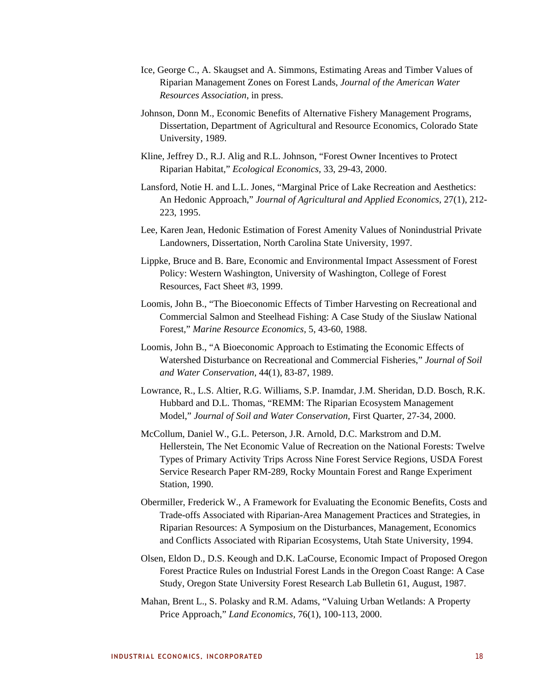- Ice, George C., A. Skaugset and A. Simmons, Estimating Areas and Timber Values of Riparian Management Zones on Forest Lands, *Journal of the American Water Resources Association*, in press.
- Johnson, Donn M., Economic Benefits of Alternative Fishery Management Programs, Dissertation, Department of Agricultural and Resource Economics, Colorado State University, 1989.
- Kline, Jeffrey D., R.J. Alig and R.L. Johnson, "Forest Owner Incentives to Protect Riparian Habitat," *Ecological Economics,* 33, 29-43, 2000.
- Lansford, Notie H. and L.L. Jones, "Marginal Price of Lake Recreation and Aesthetics: An Hedonic Approach," *Journal of Agricultural and Applied Economics,* 27(1), 212- 223, 1995.
- Lee, Karen Jean, Hedonic Estimation of Forest Amenity Values of Nonindustrial Private Landowners, Dissertation, North Carolina State University, 1997.
- Lippke, Bruce and B. Bare, Economic and Environmental Impact Assessment of Forest Policy: Western Washington, University of Washington, College of Forest Resources, Fact Sheet #3, 1999.
- Loomis, John B., "The Bioeconomic Effects of Timber Harvesting on Recreational and Commercial Salmon and Steelhead Fishing: A Case Study of the Siuslaw National Forest," *Marine Resource Economics,* 5, 43-60, 1988.
- Loomis, John B., "A Bioeconomic Approach to Estimating the Economic Effects of Watershed Disturbance on Recreational and Commercial Fisheries," *Journal of Soil and Water Conservation,* 44(1), 83-87, 1989.
- Lowrance, R., L.S. Altier, R.G. Williams, S.P. Inamdar, J.M. Sheridan, D.D. Bosch, R.K. Hubbard and D.L. Thomas, "REMM: The Riparian Ecosystem Management Model," *Journal of Soil and Water Conservation,* First Quarter, 27-34, 2000.
- McCollum, Daniel W., G.L. Peterson, J.R. Arnold, D.C. Markstrom and D.M. Hellerstein, The Net Economic Value of Recreation on the National Forests: Twelve Types of Primary Activity Trips Across Nine Forest Service Regions, USDA Forest Service Research Paper RM-289, Rocky Mountain Forest and Range Experiment Station, 1990.
- Obermiller, Frederick W., A Framework for Evaluating the Economic Benefits, Costs and Trade-offs Associated with Riparian-Area Management Practices and Strategies, in Riparian Resources: A Symposium on the Disturbances, Management, Economics and Conflicts Associated with Riparian Ecosystems, Utah State University, 1994.
- Olsen, Eldon D., D.S. Keough and D.K. LaCourse, Economic Impact of Proposed Oregon Forest Practice Rules on Industrial Forest Lands in the Oregon Coast Range: A Case Study, Oregon State University Forest Research Lab Bulletin 61, August, 1987.
- Mahan, Brent L., S. Polasky and R.M. Adams, "Valuing Urban Wetlands: A Property Price Approach," *Land Economics,* 76(1), 100-113, 2000.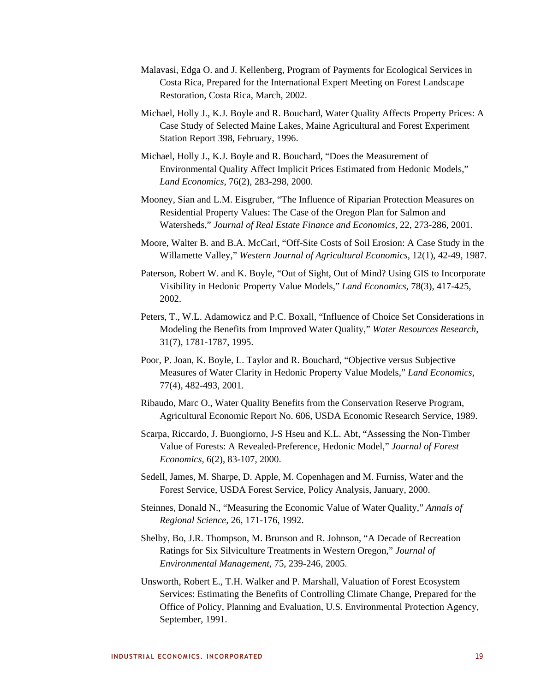- Malavasi, Edga O. and J. Kellenberg, Program of Payments for Ecological Services in Costa Rica, Prepared for the International Expert Meeting on Forest Landscape Restoration, Costa Rica, March, 2002.
- Michael, Holly J., K.J. Boyle and R. Bouchard, Water Quality Affects Property Prices: A Case Study of Selected Maine Lakes, Maine Agricultural and Forest Experiment Station Report 398, February, 1996.
- Michael, Holly J., K.J. Boyle and R. Bouchard, "Does the Measurement of Environmental Quality Affect Implicit Prices Estimated from Hedonic Models," *Land Economics,* 76(2), 283-298, 2000.
- Mooney, Sian and L.M. Eisgruber, "The Influence of Riparian Protection Measures on Residential Property Values: The Case of the Oregon Plan for Salmon and Watersheds," *Journal of Real Estate Finance and Economics,* 22, 273-286, 2001.
- Moore, Walter B. and B.A. McCarl, "Off-Site Costs of Soil Erosion: A Case Study in the Willamette Valley," *Western Journal of Agricultural Economics,* 12(1), 42-49, 1987.
- Paterson, Robert W. and K. Boyle, "Out of Sight, Out of Mind? Using GIS to Incorporate Visibility in Hedonic Property Value Models," *Land Economics,* 78(3), 417-425, 2002.
- Peters, T., W.L. Adamowicz and P.C. Boxall, "Influence of Choice Set Considerations in Modeling the Benefits from Improved Water Quality," *Water Resources Research,*  31(7), 1781-1787, 1995.
- Poor, P. Joan, K. Boyle, L. Taylor and R. Bouchard, "Objective versus Subjective Measures of Water Clarity in Hedonic Property Value Models," *Land Economics,*  77(4), 482-493, 2001.
- Ribaudo, Marc O., Water Quality Benefits from the Conservation Reserve Program, Agricultural Economic Report No. 606, USDA Economic Research Service, 1989.
- Scarpa, Riccardo, J. Buongiorno, J-S Hseu and K.L. Abt, "Assessing the Non-Timber Value of Forests: A Revealed-Preference, Hedonic Model," *Journal of Forest Economics,* 6(2), 83-107, 2000.
- Sedell, James, M. Sharpe, D. Apple, M. Copenhagen and M. Furniss, Water and the Forest Service, USDA Forest Service, Policy Analysis, January, 2000.
- Steinnes, Donald N., "Measuring the Economic Value of Water Quality," *Annals of Regional Science,* 26, 171-176, 1992.
- Shelby, Bo, J.R. Thompson, M. Brunson and R. Johnson, "A Decade of Recreation Ratings for Six Silviculture Treatments in Western Oregon," *Journal of Environmental Management,* 75, 239-246, 2005.
- Unsworth, Robert E., T.H. Walker and P. Marshall, Valuation of Forest Ecosystem Services: Estimating the Benefits of Controlling Climate Change, Prepared for the Office of Policy, Planning and Evaluation, U.S. Environmental Protection Agency, September, 1991.